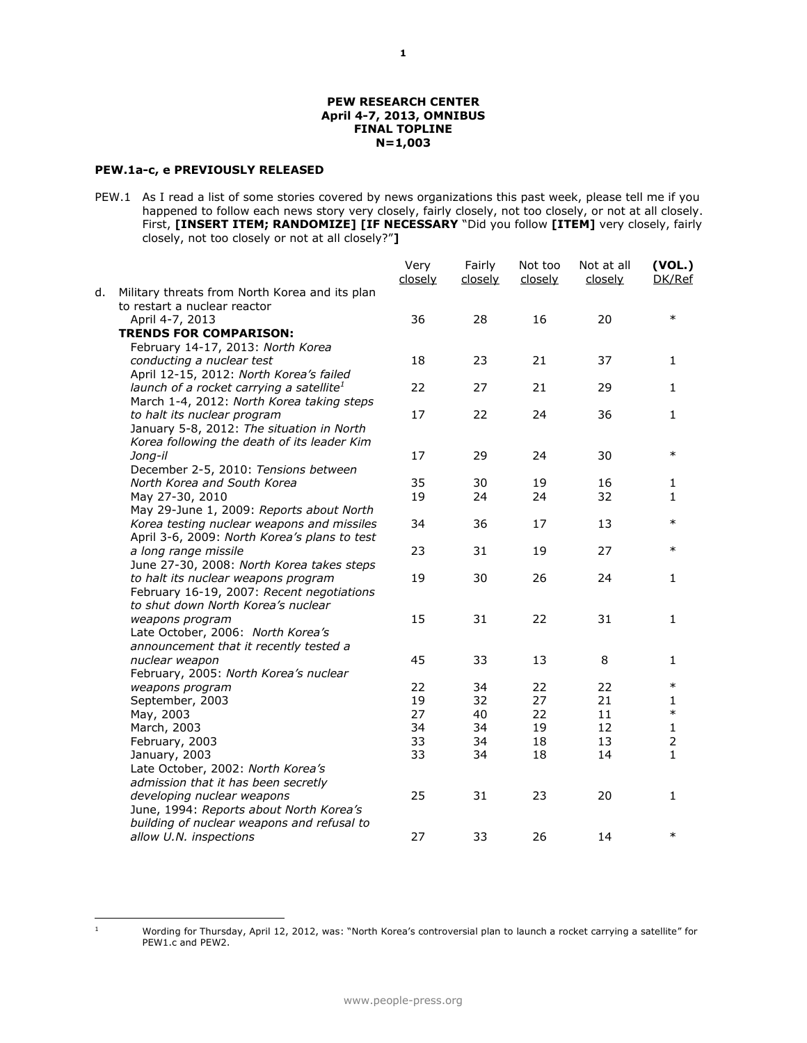### **PEW RESEARCH CENTER April 4-7, 2013, OMNIBUS FINAL TOPLINE N=1,003**

# **PEW.1a-c, e PREVIOUSLY RELEASED**

PEW.1 As I read a list of some stories covered by news organizations this past week, please tell me if you happened to follow each news story very closely, fairly closely, not too closely, or not at all closely. First, **[INSERT ITEM; RANDOMIZE] [IF NECESSARY** "Did you follow **[ITEM]** very closely, fairly closely, not too closely or not at all closely?"**]**

|    |                                                | Very<br>closely | Fairly<br>closely | Not too<br>closely | Not at all<br>closely | (VOL.)<br>DK/Ref |
|----|------------------------------------------------|-----------------|-------------------|--------------------|-----------------------|------------------|
| d. | Military threats from North Korea and its plan |                 |                   |                    |                       |                  |
|    | to restart a nuclear reactor                   |                 |                   |                    |                       |                  |
|    | April 4-7, 2013                                | 36              | 28                | 16                 | 20                    | $\ast$           |
|    | <b>TRENDS FOR COMPARISON:</b>                  |                 |                   |                    |                       |                  |
|    | February 14-17, 2013: North Korea              |                 |                   |                    |                       |                  |
|    | conducting a nuclear test                      | 18              | 23                | 21                 | 37                    | 1                |
|    | April 12-15, 2012: North Korea's failed        |                 |                   |                    |                       |                  |
|    | launch of a rocket carrying a satellite $^1$   | 22              | 27                | 21                 | 29                    | $\mathbf{1}$     |
|    | March 1-4, 2012: North Korea taking steps      |                 |                   |                    |                       |                  |
|    | to halt its nuclear program                    | 17              | 22                | 24                 | 36                    | $\mathbf{1}$     |
|    | January 5-8, 2012: The situation in North      |                 |                   |                    |                       |                  |
|    | Korea following the death of its leader Kim    |                 |                   |                    |                       |                  |
|    | Jong-il                                        | 17              | 29                | 24                 | 30                    | $\ast$           |
|    | December 2-5, 2010: Tensions between           |                 |                   |                    |                       |                  |
|    | North Korea and South Korea                    | 35              | 30                | 19                 | 16                    | 1                |
|    | May 27-30, 2010                                | 19              | 24                | 24                 | 32                    | 1                |
|    | May 29-June 1, 2009: Reports about North       |                 |                   |                    |                       |                  |
|    | Korea testing nuclear weapons and missiles     | 34              | 36                | 17                 | 13                    | $\ast$           |
|    | April 3-6, 2009: North Korea's plans to test   |                 |                   |                    |                       |                  |
|    | a long range missile                           | 23              | 31                | 19                 | 27                    | $\ast$           |
|    | June 27-30, 2008: North Korea takes steps      |                 |                   |                    |                       |                  |
|    | to halt its nuclear weapons program            | 19              | 30                | 26                 | 24                    | 1                |
|    | February 16-19, 2007: Recent negotiations      |                 |                   |                    |                       |                  |
|    | to shut down North Korea's nuclear             |                 |                   |                    |                       |                  |
|    | weapons program                                | 15              | 31                | 22                 | 31                    | $\mathbf{1}$     |
|    | Late October, 2006: North Korea's              |                 |                   |                    |                       |                  |
|    | announcement that it recently tested a         |                 |                   |                    |                       |                  |
|    | nuclear weapon                                 | 45              | 33                | 13                 | 8                     | 1                |
|    | February, 2005: North Korea's nuclear          |                 |                   |                    |                       | $\ast$           |
|    | weapons program                                | 22              | 34                | 22                 | 22                    |                  |
|    | September, 2003                                | 19              | 32                | 27                 | 21                    | 1<br>$\ast$      |
|    | May, 2003                                      | 27              | 40                | 22                 | 11                    |                  |
|    | March, 2003                                    | 34              | 34                | 19                 | 12                    | $\mathbf{1}$     |
|    | February, 2003                                 | 33              | 34                | 18                 | 13                    | $\overline{2}$   |
|    | January, 2003                                  | 33              | 34                | 18                 | 14                    | $\mathbf{1}$     |
|    | Late October, 2002: North Korea's              |                 |                   |                    |                       |                  |
|    | admission that it has been secretly            |                 |                   |                    |                       |                  |
|    | developing nuclear weapons                     | 25              | 31                | 23                 | 20                    | 1                |
|    | June, 1994: Reports about North Korea's        |                 |                   |                    |                       |                  |
|    | building of nuclear weapons and refusal to     |                 |                   |                    |                       | $\ast$           |
|    | allow U.N. inspections                         | 27              | 33                | 26                 | 14                    |                  |

 $\,$  1  $\,$ 

<sup>1</sup> Wording for Thursday, April 12, 2012, was: "North Korea's controversial plan to launch a rocket carrying a satellite" for PEW1.c and PEW2.